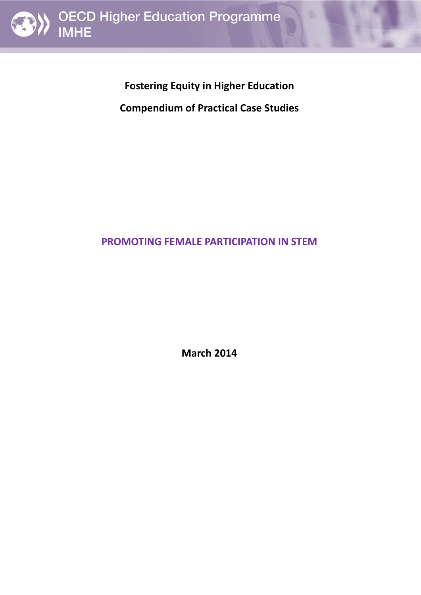

**Fostering Equity in Higher Education** 

**Compendium of Practical Case Studies**

# **PROMOTING FEMALE PARTICIPATION IN STEM**

**March 2014**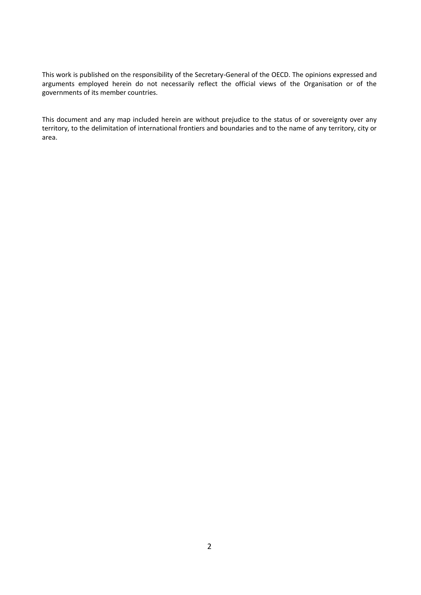This work is published on the responsibility of the Secretary-General of the OECD. The opinions expressed and arguments employed herein do not necessarily reflect the official views of the Organisation or of the governments of its member countries.

This document and any map included herein are without prejudice to the status of or sovereignty over any territory, to the delimitation of international frontiers and boundaries and to the name of any territory, city or area.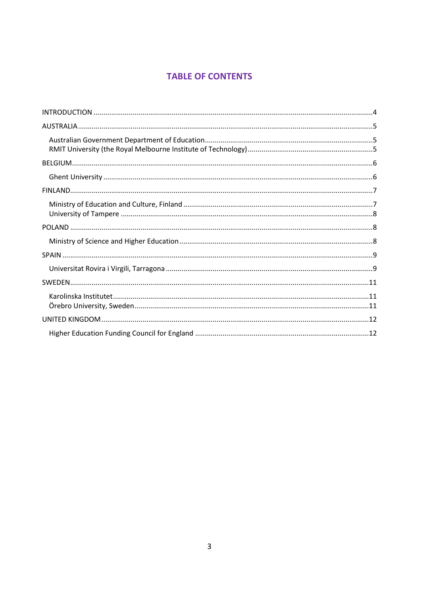# **TABLE OF CONTENTS**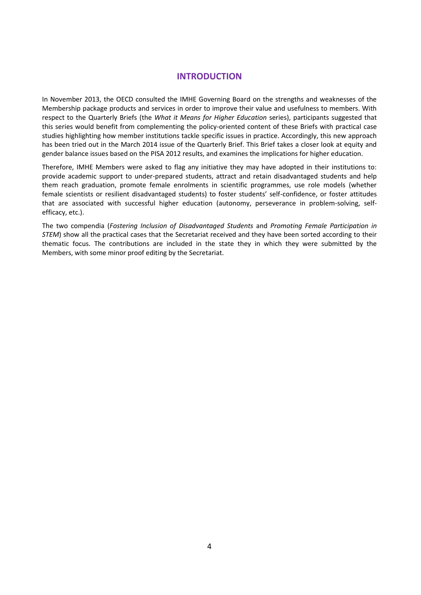# **INTRODUCTION**

<span id="page-3-0"></span>In November 2013, the OECD consulted the IMHE Governing Board on the strengths and weaknesses of the Membership package products and services in order to improve their value and usefulness to members. With respect to the [Quarterly Briefs](http://www.oecd.org/edu/imhe/whatitmeansforhighereducationquarterlybriefs.htm) (the *What it Means for Higher Education* series), participants suggested that this series would benefit from complementing the policy-oriented content of these Briefs with practical case studies highlighting how member institutions tackle specific issues in practice. Accordingly, this new approach has been tried out in the March 2014 issue of the Quarterly Brief. This Brief takes a closer look at equity and gender balance issues based on the PISA 2012 results, and examines the implications for higher education.

Therefore, IMHE Members were asked to flag any initiative they may have adopted in their institutions to: provide academic support to under-prepared students, attract and retain disadvantaged students and help them reach graduation, promote female enrolments in scientific programmes, use role models (whether female scientists or resilient disadvantaged students) to foster students' self-confidence, or foster attitudes that are associated with successful higher education (autonomy, perseverance in problem-solving, selfefficacy, etc.).

The two compendia (*Fostering Inclusion of Disadvantaged Students* and *Promoting Female Participation in STEM*) show all the practical cases that the Secretariat received and they have been sorted according to their thematic focus. The contributions are included in the state they in which they were submitted by the Members, with some minor proof editing by the Secretariat.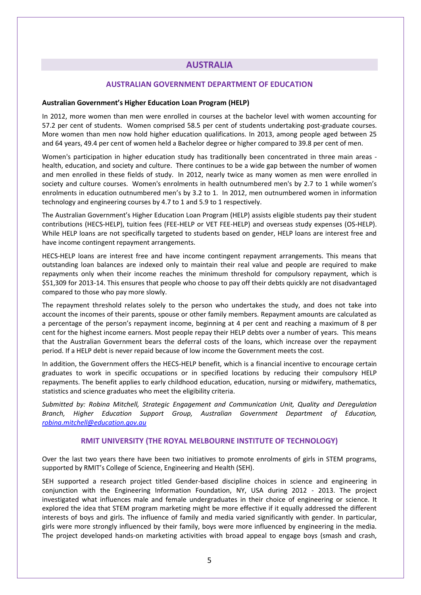# **AUSTRALIA**

# <span id="page-4-1"></span>**AUSTRALIAN GOVERNMENT DEPARTMENT OF EDUCATION**

#### <span id="page-4-0"></span>**Australian Government's Higher Education Loan Program (HELP)**

In 2012, more women than men were enrolled in courses at the bachelor level with women accounting for 57.2 per cent of students. Women comprised 58.5 per cent of students undertaking post-graduate courses. More women than men now hold higher education qualifications. In 2013, among people aged between 25 and 64 years, 49.4 per cent of women held a Bachelor degree or higher compared to 39.8 per cent of men.

Women's participation in higher education study has traditionally been concentrated in three main areas health, education, and society and culture. There continues to be a wide gap between the number of women and men enrolled in these fields of study. In 2012, nearly twice as many women as men were enrolled in society and culture courses. Women's enrolments in health outnumbered men's by 2.7 to 1 while women's enrolments in education outnumbered men's by 3.2 to 1. In 2012, men outnumbered women in information technology and engineering courses by 4.7 to 1 and 5.9 to 1 respectively.

The Australian Government's Higher Education Loan Program (HELP) assists eligible students pay their student contributions (HECS-HELP), tuition fees (FEE-HELP or VET FEE-HELP) and overseas study expenses (OS-HELP). While HELP loans are not specifically targeted to students based on gender, HELP loans are interest free and have income contingent repayment arrangements.

HECS-HELP loans are interest free and have income contingent repayment arrangements. This means that outstanding loan balances are indexed only to maintain their real value and people are required to make repayments only when their income reaches the minimum threshold for compulsory repayment, which is \$51,309 for 2013-14. This ensures that people who choose to pay off their debts quickly are not disadvantaged compared to those who pay more slowly.

The repayment threshold relates solely to the person who undertakes the study, and does not take into account the incomes of their parents, spouse or other family members. Repayment amounts are calculated as a percentage of the person's repayment income, beginning at 4 per cent and reaching a maximum of 8 per cent for the highest income earners. Most people repay their HELP debts over a number of years. This means that the Australian Government bears the deferral costs of the loans, which increase over the repayment period. If a HELP debt is never repaid because of low income the Government meets the cost.

In addition, the Government offers the HECS-HELP benefit, which is a financial incentive to encourage certain graduates to work in specific occupations or in specified locations by reducing their compulsory HELP repayments. The benefit applies to early childhood education, education, nursing or midwifery, mathematics, statistics and science graduates who meet the eligibility criteria.

*Submitted by: Robina Mitchell, Strategic Engagement and Communication Unit, Quality and Deregulation Branch, Higher Education Support Group, Australian Government Department of Education, [robina.mitchell@education.gov.au](mailto:robina.mitchell@education.gov.au)*

# <span id="page-4-2"></span>**RMIT UNIVERSITY (THE ROYAL MELBOURNE INSTITUTE OF TECHNOLOGY)**

Over the last two years there have been two initiatives to promote enrolments of girls in STEM programs, supported by RMIT's College of Science, Engineering and Health (SEH).

SEH supported a research project titled Gender-based discipline choices in science and engineering in conjunction with the Engineering Information Foundation, NY, USA during 2012 - 2013. The project investigated what influences male and female undergraduates in their choice of engineering or science. It explored the idea that STEM program marketing might be more effective if it equally addressed the different interests of boys and girls. The influence of family and media varied significantly with gender. In particular, girls were more strongly influenced by their family, boys were more influenced by engineering in the media. The project developed hands-on marketing activities with broad appeal to engage boys (smash and crash,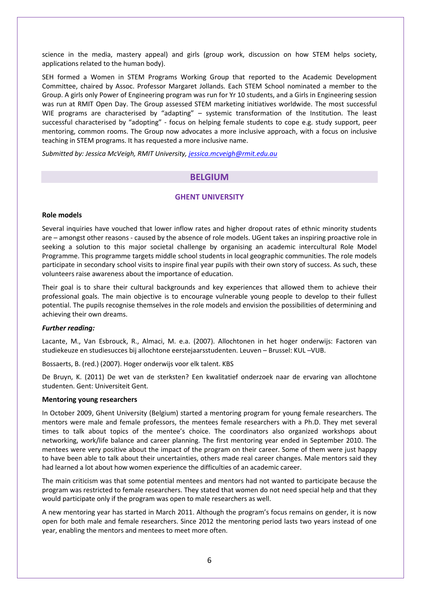science in the media, mastery appeal) and girls (group work, discussion on how STEM helps society, applications related to the human body).

SEH formed a Women in STEM Programs Working Group that reported to the Academic Development Committee, chaired by Assoc. Professor Margaret Jollands. Each STEM School nominated a member to the Group. A girls only Power of Engineering program was run for Yr 10 students, and a Girls in Engineering session was run at RMIT Open Day. The Group assessed STEM marketing initiatives worldwide. The most successful WIE programs are characterised by "adapting" – systemic transformation of the Institution. The least successful characterised by "adopting" - focus on helping female students to cope e.g. study support, peer mentoring, common rooms. The Group now advocates a more inclusive approach, with a focus on inclusive teaching in STEM programs. It has requested a more inclusive name.

<span id="page-5-0"></span>*Submitted by: Jessica McVeigh, RMIT University, [jessica.mcveigh@rmit.edu.au](mailto:jessica.mcveigh@rmit.edu.au)*

# **BELGIUM**

# <span id="page-5-1"></span>**GHENT UNIVERSITY**

#### **Role models**

Several inquiries have vouched that lower inflow rates and higher dropout rates of ethnic minority students are – amongst other reasons - caused by the absence of role models. UGent takes an inspiring proactive role in seeking a solution to this major societal challenge by organising an academic intercultural Role Model Programme. This programme targets middle school students in local geographic communities. The role models participate in secondary school visits to inspire final year pupils with their own story of success. As such, these volunteers raise awareness about the importance of education.

Their goal is to share their cultural backgrounds and key experiences that allowed them to achieve their professional goals. The main objective is to encourage vulnerable young people to develop to their fullest potential. The pupils recognise themselves in the role models and envision the possibilities of determining and achieving their own dreams.

#### *Further reading:*

Lacante, M., Van Esbrouck, R., Almaci, M. e.a. (2007). Allochtonen in het hoger onderwijs: Factoren van studiekeuze en studiesucces bij allochtone eerstejaarsstudenten. Leuven – Brussel: KUL –VUB.

Bossaerts, B. (red.) (2007). Hoger onderwijs voor elk talent. KBS

De Bruyn, K. (2011) De wet van de sterksten? Een kwalitatief onderzoek naar de ervaring van allochtone studenten. Gent: Universiteit Gent.

#### **Mentoring young researchers**

In October 2009, Ghent University (Belgium) started a mentoring program for young female researchers. The mentors were male and female professors, the mentees female researchers with a Ph.D. They met several times to talk about topics of the mentee's choice. The coordinators also organized workshops about networking, work/life balance and career planning. The first mentoring year ended in September 2010. The mentees were very positive about the impact of the program on their career. Some of them were just happy to have been able to talk about their uncertainties, others made real career changes. Male mentors said they had learned a lot about how women experience the difficulties of an academic career.

The main criticism was that some potential mentees and mentors had not wanted to participate because the program was restricted to female researchers. They stated that women do not need special help and that they would participate only if the program was open to male researchers as well.

A new mentoring year has started in March 2011. Although the program's focus remains on gender, it is now open for both male and female researchers. Since 2012 the mentoring period lasts two years instead of one year, enabling the mentors and mentees to meet more often.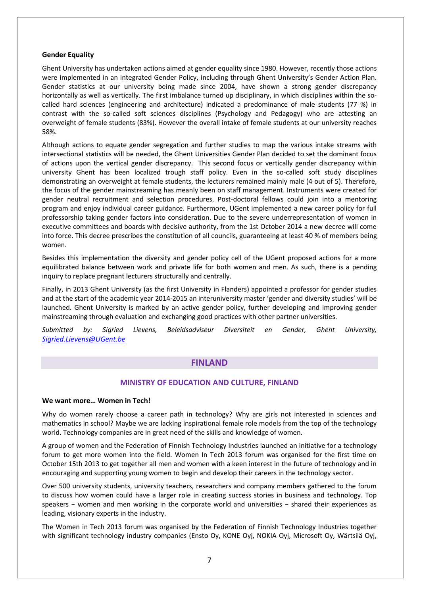## **Gender Equality**

Ghent University has undertaken actions aimed at gender equality since 1980. However, recently those actions were implemented in an integrated Gender Policy, including through Ghent University's Gender Action Plan. Gender statistics at our university being made since 2004, have shown a strong gender discrepancy horizontally as well as vertically. The first imbalance turned up disciplinary, in which disciplines within the socalled hard sciences (engineering and architecture) indicated a predominance of male students (77 %) in contrast with the so-called soft sciences disciplines (Psychology and Pedagogy) who are attesting an overweight of female students (83%). However the overall intake of female students at our university reaches 58%.

Although actions to equate gender segregation and further studies to map the various intake streams with intersectional statistics will be needed, the Ghent Universities Gender Plan decided to set the dominant focus of actions upon the vertical gender discrepancy. This second focus or vertically gender discrepancy within university Ghent has been localized trough staff policy. Even in the so-called soft study disciplines demonstrating an overweight at female students, the lecturers remained mainly male (4 out of 5). Therefore, the focus of the gender mainstreaming has meanly been on staff management. Instruments were created for gender neutral recruitment and selection procedures. Post-doctoral fellows could join into a mentoring program and enjoy individual career guidance. Furthermore, UGent implemented a new career policy for full professorship taking gender factors into consideration. Due to the severe underrepresentation of women in executive committees and boards with decisive authority, from the 1st October 2014 a new decree will come into force. This decree prescribes the constitution of all councils, guaranteeing at least 40 % of members being women.

Besides this implementation the diversity and gender policy cell of the UGent proposed actions for a more equilibrated balance between work and private life for both women and men. As such, there is a pending inquiry to replace pregnant lecturers structurally and centrally.

Finally, in 2013 Ghent University (as the first University in Flanders) appointed a professor for gender studies and at the start of the academic year 2014-2015 an interuniversity master 'gender and diversity studies' will be launched. Ghent University is marked by an active gender policy, further developing and improving gender mainstreaming through evaluation and exchanging good practices with other partner universities.

<span id="page-6-0"></span>*Submitted by: Sigried Lievens, Beleidsadviseur Diversiteit en Gender, Ghent University, [Sigried.Lievens@UGent.be](mailto:Sigried.Lievens@UGent.be)*

# **FINLAND**

#### <span id="page-6-1"></span>**MINISTRY OF EDUCATION AND CULTURE, FINLAND**

#### **We want more… Women in Tech!**

Why do women rarely choose a career path in technology? Why are girls not interested in sciences and mathematics in school? Maybe we are lacking inspirational female role models from the top of the technology world. Technology companies are in great need of the skills and knowledge of women.

A group of women and the Federation of Finnish Technology Industries launched an initiative for a technology forum to get more women into the field. Women In Tech 2013 forum was organised for the first time on October 15th 2013 to get together all men and women with a keen interest in the future of technology and in encouraging and supporting young women to begin and develop their careers in the technology sector.

Over 500 university students, university teachers, researchers and company members gathered to the forum to discuss how women could have a larger role in creating success stories in business and technology. Top speakers − women and men working in the corporate world and universities − shared their experiences as leading, visionary experts in the industry.

The Women in Tech 2013 forum was organised by the Federation of Finnish Technology Industries together with significant technology industry companies (Ensto Oy, KONE Oyj, NOKIA Oyj, Microsoft Oy, Wärtsilä Oyj,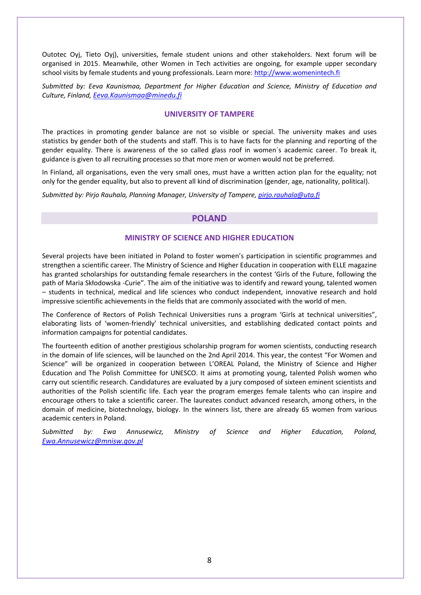Outotec Oyj, Tieto Oyj), universities, female student unions and other stakeholders. Next forum will be organised in 2015. Meanwhile, other Women in Tech activities are ongoing, for example upper secondary school visits by female students and young professionals. Learn more[: http://www.womenintech.fi](http://www.womenintech.fi/)

*Submitted by: Eeva Kaunismaa, Department for Higher Education and Science, Ministry of Education and Culture, Finland, [Eeva.Kaunismaa@minedu.fi](mailto:Eeva.Kaunismaa@minedu.fi)*

## <span id="page-7-0"></span>**UNIVERSITY OF TAMPERE**

The practices in promoting gender balance are not so visible or special. The university makes and uses statistics by gender both of the students and staff. This is to have facts for the planning and reporting of the gender equality. There is awareness of the so called glass roof in women´s academic career. To break it, guidance is given to all recruiting processes so that more men or women would not be preferred.

In Finland, all organisations, even the very small ones, must have a written action plan for the equality; not only for the gender equality, but also to prevent all kind of discrimination (gender, age, nationality, political).

<span id="page-7-1"></span>*Submitted by: Pirjo Rauhala, Planning Manager, University of Tampere[, pirjo.rauhala@uta.fi](mailto:pirjo.rauhala@uta.fi)*

# **POLAND**

#### <span id="page-7-2"></span>**MINISTRY OF SCIENCE AND HIGHER EDUCATION**

Several projects have been initiated in Poland to foster women's participation in scientific programmes and strengthen a scientific career. The Ministry of Science and Higher Education in cooperation with ELLE magazine has granted scholarships for outstanding female researchers in the contest 'Girls of the Future, following the path of Maria Skłodowska -Curie". The aim of the initiative was to identify and reward young, talented women – students in technical, medical and life sciences who conduct independent, innovative research and hold impressive scientific achievements in the fields that are commonly associated with the world of men.

The Conference of Rectors of Polish Technical Universities runs a program 'Girls at technical universities", elaborating lists of 'women-friendly' technical universities, and establishing dedicated contact points and information campaigns for potential candidates.

The fourteenth edition of another prestigious scholarship program for women scientists, conducting research in the domain of life sciences, will be launched on the 2nd April 2014. This year, the contest "For Women and Science" will be organized in cooperation between L'OREAL Poland, the Ministry of Science and Higher Education and The Polish Committee for UNESCO. It aims at promoting young, talented Polish women who carry out scientific research. Candidatures are evaluated by a jury composed of sixteen eminent scientists and authorities of the Polish scientific life. Each year the program emerges female talents who can inspire and encourage others to take a scientific career. The laureates conduct advanced research, among others, in the domain of medicine, biotechnology, biology. In the winners list, there are already 65 women from various academic centers in Poland.

*Submitted by: Ewa Annusewicz, Ministry of Science and Higher Education, Poland, [Ewa.Annusewicz@mnisw.gov.pl](mailto:Ewa.Annusewicz@mnisw.gov.pl)*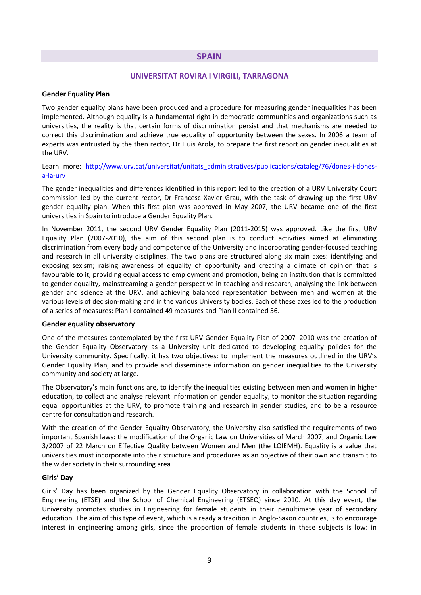# **SPAIN**

# <span id="page-8-1"></span>**UNIVERSITAT ROVIRA I VIRGILI, TARRAGONA**

### <span id="page-8-0"></span>**Gender Equality Plan**

Two gender equality plans have been produced and a procedure for measuring gender inequalities has been implemented. Although equality is a fundamental right in democratic communities and organizations such as universities, the reality is that certain forms of discrimination persist and that mechanisms are needed to correct this discrimination and achieve true equality of opportunity between the sexes. In 2006 a team of experts was entrusted by the then rector, Dr Lluis Arola, to prepare the first report on gender inequalities at the URV.

## Learn more: http://www.urv.cat/universitat/unitats administratives/publicacions/cataleg/76/dones-i-dones[a-la-urv](http://www.urv.cat/universitat/unitats_administratives/publicacions/cataleg/76/dones-i-dones-a-la-urv)

The gender inequalities and differences identified in this report led to the creation of a URV University Court commission led by the current rector, Dr Francesc Xavier Grau, with the task of drawing up the first URV gender equality plan. When this first plan was approved in May 2007, the URV became one of the first universities in Spain to introduce a Gender Equality Plan.

In November 2011, the second URV Gender Equality Plan (2011-2015) was approved. Like the first URV Equality Plan (2007-2010), the aim of this second plan is to conduct activities aimed at eliminating discrimination from every body and competence of the University and incorporating gender-focused teaching and research in all university disciplines. The two plans are structured along six main axes: identifying and exposing sexism; raising awareness of equality of opportunity and creating a climate of opinion that is favourable to it, providing equal access to employment and promotion, being an institution that is committed to gender equality, mainstreaming a gender perspective in teaching and research, analysing the link between gender and science at the URV, and achieving balanced representation between men and women at the various levels of decision-making and in the various University bodies. Each of these axes led to the production of a series of measures: Plan I contained 49 measures and Plan II contained 56.

#### **Gender equality observatory**

One of the measures contemplated by the first URV Gender Equality Plan of 2007–2010 was the creation of the Gender Equality Observatory as a University unit dedicated to developing equality policies for the University community. Specifically, it has two objectives: to implement the measures outlined in the URV's Gender Equality Plan, and to provide and disseminate information on gender inequalities to the University community and society at large.

The Observatory's main functions are, to identify the inequalities existing between men and women in higher education, to collect and analyse relevant information on gender equality, to monitor the situation regarding equal opportunities at the URV, to promote training and research in gender studies, and to be a resource centre for consultation and research.

With the creation of the Gender Equality Observatory, the University also satisfied the requirements of two important Spanish laws: the modification of the Organic Law on Universities of March 2007, and Organic Law 3/2007 of 22 March on Effective Quality between Women and Men (the LOIEMH). Equality is a value that universities must incorporate into their structure and procedures as an objective of their own and transmit to the wider society in their surrounding area

#### **Girls' Day**

Girls' Day has been organized by the Gender Equality Observatory in collaboration with the School of Engineering (ETSE) and the School of Chemical Engineering (ETSEQ) since 2010. At this day event, the University promotes studies in Engineering for female students in their penultimate year of secondary education. The aim of this type of event, which is already a tradition in Anglo-Saxon countries, is to encourage interest in engineering among girls, since the proportion of female students in these subjects is low: in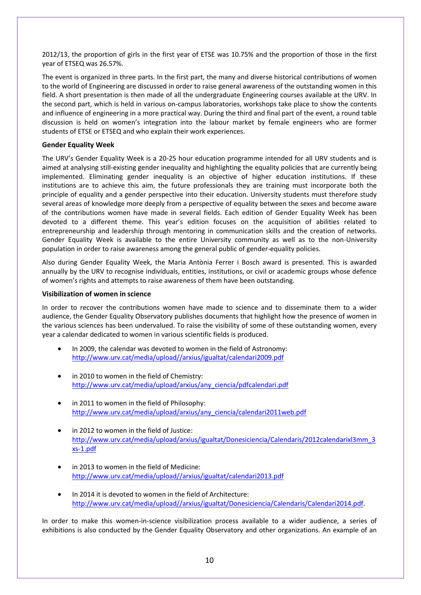2012/13, the proportion of girls in the first year of ETSE was 10.75% and the proportion of those in the first year of ETSEQ was 26.57%.

The event is organized in three parts. In the first part, the many and diverse historical contributions of women to the world of Engineering are discussed in order to raise general awareness of the outstanding women in this field. A short presentation is then made of all the undergraduate Engineering courses available at the URV. In the second part, which is held in various on-campus laboratories, workshops take place to show the contents and influence of engineering in a more practical way. During the third and final part of the event, a round table discussion is held on women's integration into the labour market by female engineers who are former students of ETSE or ETSEQ and who explain their work experiences.

## **Gender Equality Week**

The URV's Gender Equality Week is a 20-25 hour education programme intended for all URV students and is aimed at analysing still-existing gender inequality and highlighting the equality policies that are currently being implemented. Eliminating gender inequality is an objective of higher education institutions. If these institutions are to achieve this aim, the future professionals they are training must incorporate both the principle of equality and a gender perspective into their education. University students must therefore study several areas of knowledge more deeply from a perspective of equality between the sexes and become aware of the contributions women have made in several fields. Each edition of Gender Equality Week has been devoted to a different theme. This year's edition focuses on the acquisition of abilities related to entrepreneurship and leadership through mentoring in communication skills and the creation of networks. Gender Equality Week is available to the entire University community as well as to the non-University population in order to raise awareness among the general public of gender-equality policies.

Also during Gender Equality Week, the Maria Antònia Ferrer i Bosch award is presented. This is awarded annually by the URV to recognise individuals, entities, institutions, or civil or academic groups whose defence of women's rights and attempts to raise awareness of them have been outstanding.

### **Visibilization of women in science**

In order to recover the contributions women have made to science and to disseminate them to a wider audience, the Gender Equality Observatory publishes documents that highlight how the presence of women in the various sciences has been undervalued. To raise the visibility of some of these outstanding women, every year a calendar dedicated to women in various scientific fields is produced.

- In 2009, the calendar was devoted to women in the field of Astronomy: [http://www.urv.cat/media/upload//arxius/igualtat/calendari2009.pdf](http://www.urv.cat/media/upload/arxius/igualtat/calendari2009.pdf)
- in 2010 to women in the field of Chemistry: [http://www.urv.cat/media/upload/arxius/any\\_ciencia/pdfcalendari.pdf](http://www.urv.cat/media/upload/arxius/any_ciencia/pdfcalendari.pdf)
- in 2011 to women in the field of Philosophy: [http://www.urv.cat/media/upload/arxius/any\\_ciencia/calendari2011web.pdf](http://www.urv.cat/media/upload/arxius/any_ciencia/calendari2011web.pdf)
- in 2012 to women in the field of Justice: [http://www.urv.cat/media/upload/arxius/igualtat/Donesiciencia/Calendaris/2012calendarixl3mm\\_3](http://www.urv.cat/media/upload/arxius/igualtat/Donesiciencia/Calendaris/2012calendarixl3mm_3xs-1.pdf) [xs-1.pdf](http://www.urv.cat/media/upload/arxius/igualtat/Donesiciencia/Calendaris/2012calendarixl3mm_3xs-1.pdf)
- in 2013 to women in the field of Medicine: [http://www.urv.cat/media/upload//arxius/igualtat/calendari2013.pdf](http://www.urv.cat/media/upload/arxius/igualtat/calendari2013.pdf)
- In 2014 it is devoted to women in the field of Architecture: [http://www.urv.cat/media/upload//arxius/igualtat/Donesiciencia/Calendaris/Calendari2014.pdf.](http://www.urv.cat/media/upload/arxius/igualtat/Donesiciencia/Calendaris/Calendari2014.pdf)

In order to make this women-in-science visibilization process available to a wider audience, a series of exhibitions is also conducted by the Gender Equality Observatory and other organizations. An example of an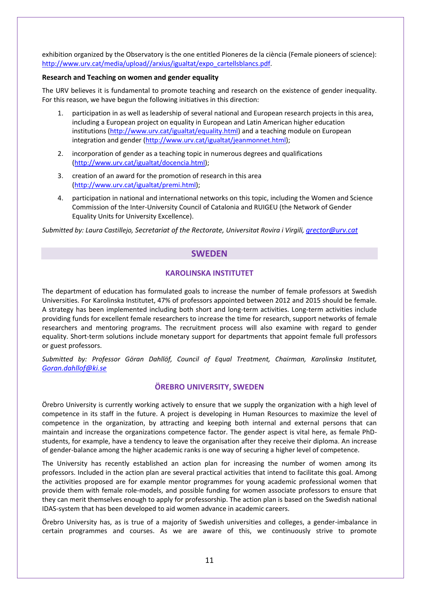exhibition organized by the Observatory is the one entitled Pioneres de la ciència (Female pioneers of science): [http://www.urv.cat/media/upload//arxius/igualtat/expo\\_cartellsblancs.pdf.](http://www.urv.cat/media/upload/arxius/igualtat/expo_cartellsblancs.pdf)

## **Research and Teaching on women and gender equality**

The URV believes it is fundamental to promote teaching and research on the existence of gender inequality. For this reason, we have begun the following initiatives in this direction:

- 1. participation in as well as leadership of several national and European research projects in this area, including a European project on equality in European and Latin American higher education institutions [\(http://www.urv.cat/igualtat/equality.html\)](http://www.urv.cat/igualtat/equality.html) and a teaching module on European integration and gender [\(http://www.urv.cat/igualtat/jeanmonnet.html\)](http://www.urv.cat/igualtat/jeanmonnet.html);
- 2. incorporation of gender as a teaching topic in numerous degrees and qualifications [\(http://www.urv.cat/igualtat/docencia.html\)](http://www.urv.cat/igualtat/docencia.html);
- 3. creation of an award for the promotion of research in this area [\(http://www.urv.cat/igualtat/premi.html\)](http://www.urv.cat/igualtat/premi.html);
- 4. participation in national and international networks on this topic, including the Women and Science Commission of the Inter-University Council of Catalonia and RUIGEU (the Network of Gender Equality Units for University Excellence).

<span id="page-10-0"></span>*Submitted by: Laura Castillejo, Secretariat of the Rectorate, Universitat Rovira i Virgili, [grector@urv.cat](mailto:grector@urv.cat)*

# **SWEDEN**

# <span id="page-10-1"></span>**KAROLINSKA INSTITUTET**

The department of education has formulated goals to increase the number of female professors at Swedish Universities. For Karolinska Institutet, 47% of professors appointed between 2012 and 2015 should be female. A strategy has been implemented including both short and long-term activities. Long-term activities include providing funds for excellent female researchers to increase the time for research, support networks of female researchers and mentoring programs. The recruitment process will also examine with regard to gender equality. Short-term solutions include monetary support for departments that appoint female full professors or guest professors.

*Submitted by: Professor Göran Dahllöf, Council of Equal Treatment, Chairman, Karolinska Institutet, [Goran.dahllof@ki.se](mailto:Goran.dahllof@ki.se)*

# <span id="page-10-2"></span>**ÖREBRO UNIVERSITY, SWEDEN**

Örebro University is currently working actively to ensure that we supply the organization with a high level of competence in its staff in the future. A project is developing in Human Resources to maximize the level of competence in the organization, by attracting and keeping both internal and external persons that can maintain and increase the organizations competence factor. The gender aspect is vital here, as female PhDstudents, for example, have a tendency to leave the organisation after they receive their diploma. An increase of gender-balance among the higher academic ranks is one way of securing a higher level of competence.

The University has recently established an action plan for increasing the number of women among its professors. Included in the action plan are several practical activities that intend to facilitate this goal. Among the activities proposed are for example mentor programmes for young academic professional women that provide them with female role-models, and possible funding for women associate professors to ensure that they can merit themselves enough to apply for professorship. The action plan is based on the Swedish national IDAS-system that has been developed to aid women advance in academic careers.

Örebro University has, as is true of a majority of Swedish universities and colleges, a gender-imbalance in certain programmes and courses. As we are aware of this, we continuously strive to promote